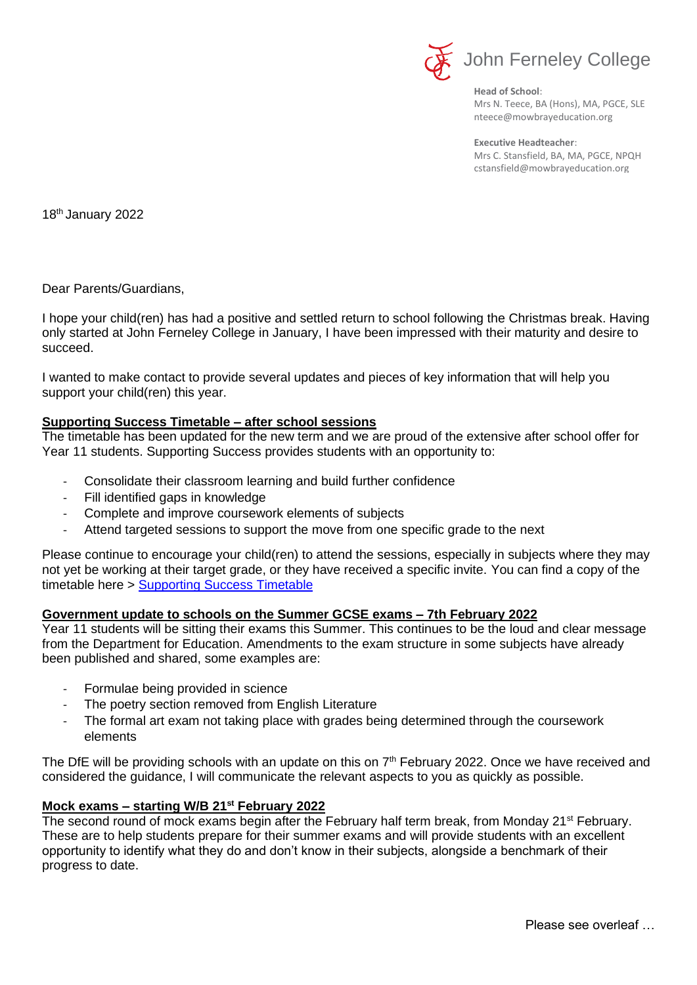

**Head of School**: Mrs N. Teece, BA (Hons), MA, PGCE, SLE nteece@mowbrayeducation.org

**Executive Headteacher**: Mrs C. Stansfield, BA, MA, PGCE, NPQH cstansfield@mowbrayeducation.org

18th January 2022

Dear Parents/Guardians,

I hope your child(ren) has had a positive and settled return to school following the Christmas break. Having only started at John Ferneley College in January, I have been impressed with their maturity and desire to succeed.

I wanted to make contact to provide several updates and pieces of key information that will help you support your child(ren) this year.

## **Supporting Success Timetable – after school sessions**

The timetable has been updated for the new term and we are proud of the extensive after school offer for Year 11 students. Supporting Success provides students with an opportunity to:

- Consolidate their classroom learning and build further confidence
- Fill identified gaps in knowledge
- Complete and improve coursework elements of subjects
- Attend targeted sessions to support the move from one specific grade to the next

Please continue to encourage your child(ren) to attend the sessions, especially in subjects where they may not yet be working at their target grade, or they have received a specific invite. You can find a copy of the timetable here > [Supporting Success Timetable](https://www.johnferneley.org/year11supportingsuccess)

## **Government update to schools on the Summer GCSE exams – 7th February 2022**

Year 11 students will be sitting their exams this Summer. This continues to be the loud and clear message from the Department for Education. Amendments to the exam structure in some subjects have already been published and shared, some examples are:

- Formulae being provided in science
- The poetry section removed from English Literature
- The formal art exam not taking place with grades being determined through the coursework elements

The DfE will be providing schools with an update on this on  $7<sup>th</sup>$  February 2022. Once we have received and considered the guidance, I will communicate the relevant aspects to you as quickly as possible.

## **Mock exams – starting W/B 21st February 2022**

The second round of mock exams begin after the February half term break, from Monday 21<sup>st</sup> February. These are to help students prepare for their summer exams and will provide students with an excellent opportunity to identify what they do and don't know in their subjects, alongside a benchmark of their progress to date.